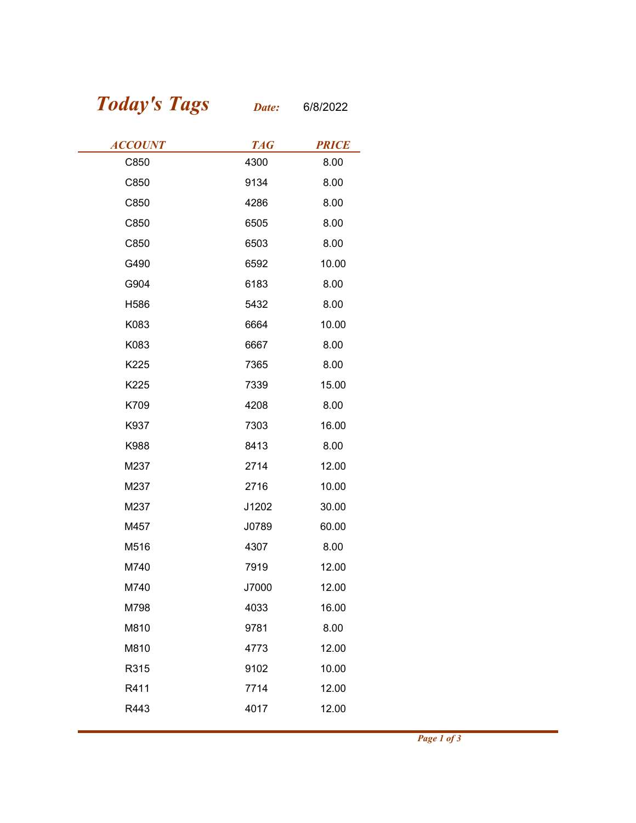## Today's Tags Date: 6/8/2022

| <b>Today's Tags</b> | Date:      | 6/8/2022     |
|---------------------|------------|--------------|
| <b>ACCOUNT</b>      | <b>TAG</b> | <b>PRICE</b> |
| C850                | 4300       | 8.00         |
| C850                | 9134       | 8.00         |
| C850                | 4286       | 8.00         |
| C850                | 6505       | 8.00         |
| C850                | 6503       | 8.00         |
| G490                | 6592       | 10.00        |
| G904                | 6183       | 8.00         |
| H586                | 5432       | 8.00         |
| K083                | 6664       | 10.00        |
| K083                | 6667       | 8.00         |
| K225                | 7365       | 8.00         |
| K225                | 7339       | 15.00        |
| K709                | 4208       | 8.00         |
| K937                | 7303       | 16.00        |
| K988                | 8413       | 8.00         |
| M237                | 2714       | 12.00        |
| M237                | 2716       | 10.00        |
| M237                | J1202      | 30.00        |
| M457                | J0789      | 60.00        |
| M516                | 4307       | 8.00         |
| M740                | 7919       | 12.00        |
| M740                | J7000      | 12.00        |
| M798                | 4033       | 16.00        |
| M810                | 9781       | 8.00         |
| M810                | 4773       | 12.00        |
| R315                | 9102       | 10.00        |
| R411                | 7714       | 12.00        |
| R443                | 4017       | 12.00        |
|                     |            |              |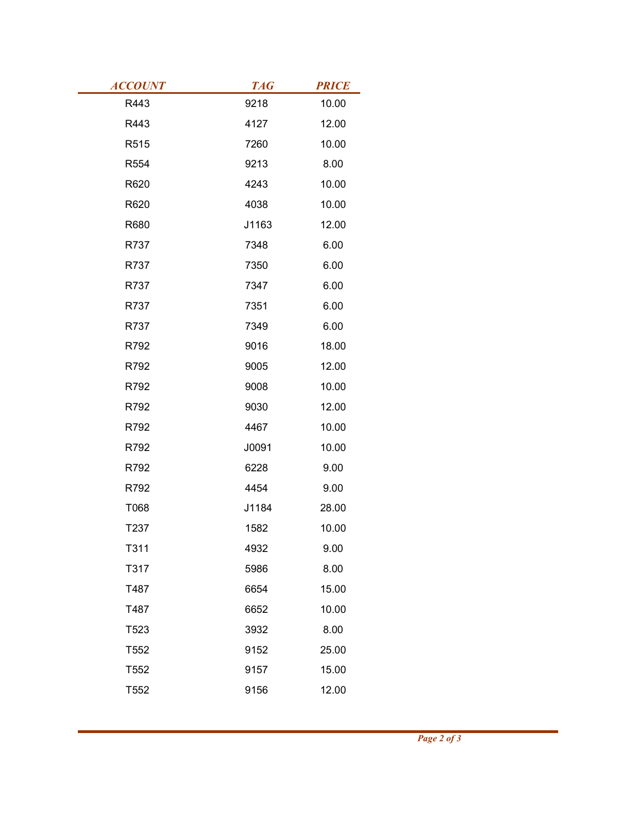| <b>TAG</b><br>R443<br>9218<br>R443<br>4127<br>R515<br>7260<br>R554<br>9213<br>R620<br>4243<br>R620<br>4038<br>R680<br>J1163<br>R737<br>7348<br>R737<br>7350<br>R737<br>7347<br>7351<br>R737 | <b>PRICE</b><br>10.00<br>12.00<br>10.00<br>8.00<br>10.00<br>10.00<br>12.00<br>6.00 |
|---------------------------------------------------------------------------------------------------------------------------------------------------------------------------------------------|------------------------------------------------------------------------------------|
| <b>ACCOUNT</b>                                                                                                                                                                              |                                                                                    |
|                                                                                                                                                                                             |                                                                                    |
|                                                                                                                                                                                             |                                                                                    |
|                                                                                                                                                                                             |                                                                                    |
|                                                                                                                                                                                             |                                                                                    |
|                                                                                                                                                                                             |                                                                                    |
|                                                                                                                                                                                             |                                                                                    |
|                                                                                                                                                                                             |                                                                                    |
|                                                                                                                                                                                             |                                                                                    |
|                                                                                                                                                                                             |                                                                                    |
|                                                                                                                                                                                             |                                                                                    |
|                                                                                                                                                                                             |                                                                                    |
|                                                                                                                                                                                             |                                                                                    |
|                                                                                                                                                                                             | 6.00                                                                               |
|                                                                                                                                                                                             | 6.00                                                                               |
|                                                                                                                                                                                             | 6.00                                                                               |
| R737<br>7349                                                                                                                                                                                | $6.00\,$                                                                           |
| 9016<br>R792                                                                                                                                                                                | 18.00                                                                              |
| R792<br>9005                                                                                                                                                                                | 12.00                                                                              |
| R792<br>9008                                                                                                                                                                                | 10.00                                                                              |
| R792<br>9030                                                                                                                                                                                | 12.00                                                                              |
| 4467<br>R792                                                                                                                                                                                | 10.00                                                                              |
| R792<br>J0091                                                                                                                                                                               | 10.00                                                                              |
| 6228<br>R792                                                                                                                                                                                | 9.00                                                                               |
| 4454<br>R792                                                                                                                                                                                | 9.00                                                                               |
| T068<br>J1184                                                                                                                                                                               | 28.00                                                                              |
| T237<br>1582                                                                                                                                                                                | 10.00                                                                              |
| T311<br>4932                                                                                                                                                                                | 9.00                                                                               |
| T317<br>5986                                                                                                                                                                                | 8.00                                                                               |
| T487<br>6654                                                                                                                                                                                | 15.00                                                                              |
| T487<br>6652                                                                                                                                                                                | 10.00                                                                              |
| T523<br>3932                                                                                                                                                                                | 8.00                                                                               |
| 9152<br>T552                                                                                                                                                                                | 25.00                                                                              |
| T552<br>9157<br>T552<br>9156                                                                                                                                                                | 15.00<br>12.00                                                                     |